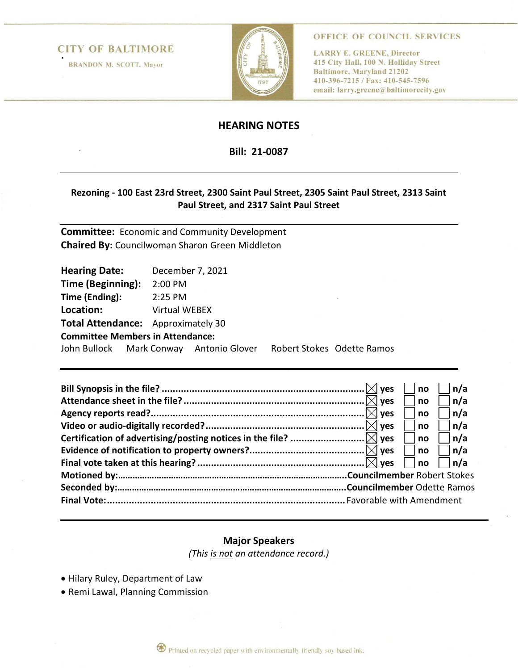## **CITY OF BALTIMORE**

**BRANDON M. SCOTT, Mayor** 



OFFICE OF COUNCIL SERVICES

**LARRY E. GREENE, Director** 415 City Hall, 100 N. Holliday Street **Baltimore, Maryland 21202** 410-396-7215 / Fax: 410-545-7596 email: larry.greene@baltimorecity.gov

# **HEARING NOTES**

**Bill: 21-0087**

## **Rezoning - 100 East 23rd Street, 2300 Saint Paul Street, 2305 Saint Paul Street, 2313 Saint Paul Street, and 2317 Saint Paul Street**

**Committee:** Economic and Community Development **Chaired By:** Councilwoman Sharon Green Middleton

| <b>Hearing Date:</b>                      |                      | December 7, 2021 |  |                            |  |  |
|-------------------------------------------|----------------------|------------------|--|----------------------------|--|--|
| Time (Beginning):                         | 2:00 PM              |                  |  |                            |  |  |
| Time (Ending):                            | 2:25 PM              |                  |  |                            |  |  |
| Location:                                 | <b>Virtual WEBEX</b> |                  |  |                            |  |  |
| <b>Total Attendance:</b> Approximately 30 |                      |                  |  |                            |  |  |
| <b>Committee Members in Attendance:</b>   |                      |                  |  |                            |  |  |
| John Bullock Mark Conway Antonio Glover   |                      |                  |  | Robert Stokes Odette Ramos |  |  |
|                                           |                      |                  |  |                            |  |  |

|  | <b>ves</b>     | no | n/a        |
|--|----------------|----|------------|
|  | <b>ves</b>     | no | n/a        |
|  | $ \times $ ves | no | n/a        |
|  |                | no | ∣n/a       |
|  |                | no | ∣n/a       |
|  |                | no | $\ln/a$    |
|  |                | no | $\Box$ n/a |
|  |                |    |            |
|  |                |    |            |
|  |                |    |            |

# **Major Speakers**

*(This is not an attendance record.)*

- Hilary Ruley, Department of Law
- Remi Lawal, Planning Commission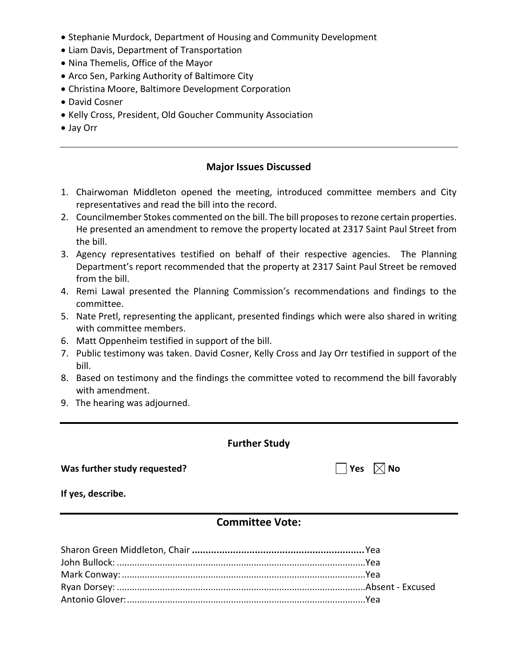- Stephanie Murdock, Department of Housing and Community Development
- Liam Davis, Department of Transportation
- Nina Themelis, Office of the Mayor
- Arco Sen, Parking Authority of Baltimore City
- Christina Moore, Baltimore Development Corporation
- David Cosner
- Kelly Cross, President, Old Goucher Community Association
- Jay Orr

## **Major Issues Discussed**

- 1. Chairwoman Middleton opened the meeting, introduced committee members and City representatives and read the bill into the record.
- 2. Councilmember Stokes commented on the bill. The bill proposes to rezone certain properties. He presented an amendment to remove the property located at 2317 Saint Paul Street from the bill.
- 3. Agency representatives testified on behalf of their respective agencies. The Planning Department's report recommended that the property at 2317 Saint Paul Street be removed from the bill.
- 4. Remi Lawal presented the Planning Commission's recommendations and findings to the committee.
- 5. Nate Pretl, representing the applicant, presented findings which were also shared in writing with committee members.
- 6. Matt Oppenheim testified in support of the bill.
- 7. Public testimony was taken. David Cosner, Kelly Cross and Jay Orr testified in support of the bill.
- 8. Based on testimony and the findings the committee voted to recommend the bill favorably with amendment.
- 9. The hearing was adjourned.

#### **Further Study**

## **Was further study requested?**  $\Box$  Yes  $\boxtimes$  No

**If yes, describe.** 

# **Committee Vote:**